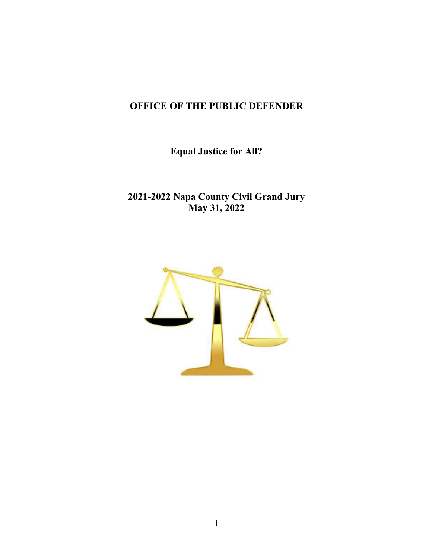# **OFFICE OF THE PUBLIC DEFENDER**

**Equal Justice for All?**

**2021-2022 Napa County Civil Grand Jury May 31, 2022**

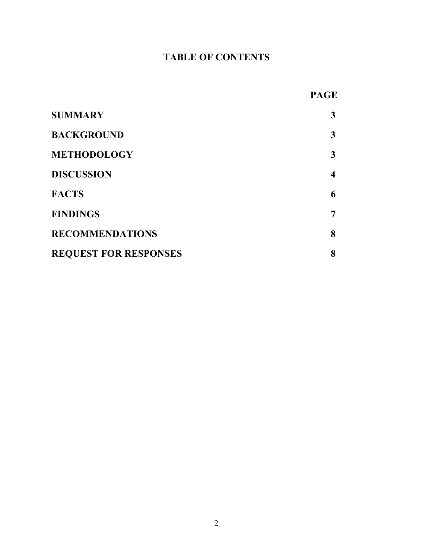# **TABLE OF CONTENTS**

|                              | <b>PAGE</b>             |
|------------------------------|-------------------------|
| <b>SUMMARY</b>               | $\mathbf{3}$            |
| <b>BACKGROUND</b>            | $\mathbf{3}$            |
| <b>METHODOLOGY</b>           | $\mathbf{3}$            |
| <b>DISCUSSION</b>            | $\overline{\mathbf{4}}$ |
| <b>FACTS</b>                 | 6                       |
| <b>FINDINGS</b>              | 7                       |
| <b>RECOMMENDATIONS</b>       | 8                       |
| <b>REQUEST FOR RESPONSES</b> | 8                       |
|                              |                         |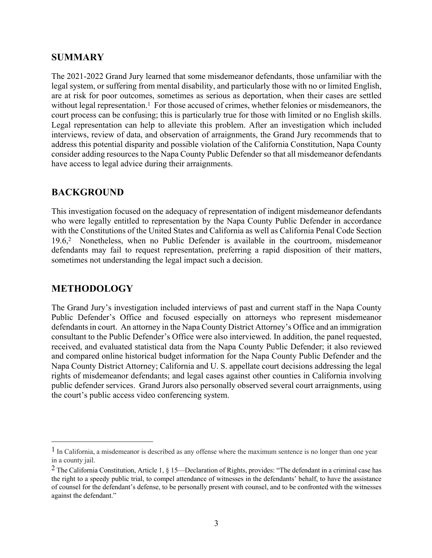# **SUMMARY**

The 2021-2022 Grand Jury learned that some misdemeanor defendants, those unfamiliar with the legal system, or suffering from mental disability, and particularly those with no or limited English, are at risk for poor outcomes, sometimes as serious as deportation, when their cases are settled without legal representation.<sup>1</sup> For those accused of crimes, whether felonies or misdemeanors, the court process can be confusing; this is particularly true for those with limited or no English skills. Legal representation can help to alleviate this problem. After an investigation which included interviews, review of data, and observation of arraignments, the Grand Jury recommends that to address this potential disparity and possible violation of the California Constitution, Napa County consider adding resources to the Napa County Public Defender so that all misdemeanor defendants have access to legal advice during their arraignments.

## **BACKGROUND**

This investigation focused on the adequacy of representation of indigent misdemeanor defendants who were legally entitled to representation by the Napa County Public Defender in accordance with the Constitutions of the United States and California as well as California Penal Code Section 19.6, <sup>2</sup> Nonetheless, when no Public Defender is available in the courtroom, misdemeanor defendants may fail to request representation, preferring a rapid disposition of their matters, sometimes not understanding the legal impact such a decision.

## **METHODOLOGY**

The Grand Jury's investigation included interviews of past and current staff in the Napa County Public Defender's Office and focused especially on attorneys who represent misdemeanor defendants in court. An attorney in the Napa County District Attorney's Office and an immigration consultant to the Public Defender's Office were also interviewed. In addition, the panel requested, received, and evaluated statistical data from the Napa County Public Defender; it also reviewed and compared online historical budget information for the Napa County Public Defender and the Napa County District Attorney; California and U. S. appellate court decisions addressing the legal rights of misdemeanor defendants; and legal cases against other counties in California involving public defender services. Grand Jurors also personally observed several court arraignments, using the court's public access video conferencing system.

<sup>&</sup>lt;sup>1</sup> In California, a misdemeanor is described as any offense where the maximum sentence is no longer than one year in a county jail.

<sup>&</sup>lt;sup>2</sup> The California Constitution, Article 1, § 15—Declaration of Rights, provides: "The defendant in a criminal case has the right to a speedy public trial, to compel attendance of witnesses in the defendants' behalf, to have the assistance of counsel for the defendant's defense, to be personally present with counsel, and to be confronted with the witnesses against the defendant."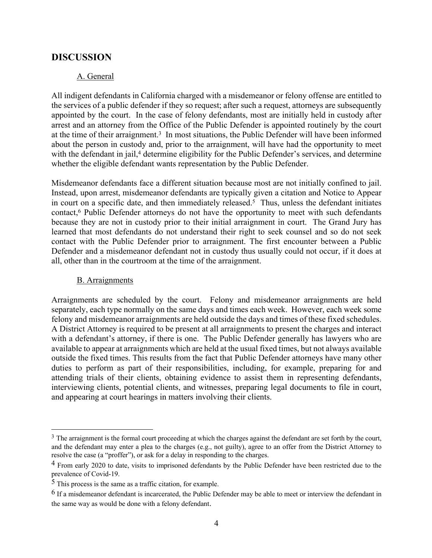#### **DISCUSSION**

#### A. General

All indigent defendants in California charged with a misdemeanor or felony offense are entitled to the services of a public defender if they so request; after such a request, attorneys are subsequently appointed by the court. In the case of felony defendants, most are initially held in custody after arrest and an attorney from the Office of the Public Defender is appointed routinely by the court at the time of their arraignment.<sup>3</sup> In most situations, the Public Defender will have been informed about the person in custody and, prior to the arraignment, will have had the opportunity to meet with the defendant in jail,<sup>4</sup> determine eligibility for the Public Defender's services, and determine whether the eligible defendant wants representation by the Public Defender.

Misdemeanor defendants face a different situation because most are not initially confined to jail. Instead, upon arrest, misdemeanor defendants are typically given a citation and Notice to Appear in court on a specific date, and then immediately released.<sup>5</sup> Thus, unless the defendant initiates contact,6 Public Defender attorneys do not have the opportunity to meet with such defendants because they are not in custody prior to their initial arraignment in court. The Grand Jury has learned that most defendants do not understand their right to seek counsel and so do not seek contact with the Public Defender prior to arraignment. The first encounter between a Public Defender and a misdemeanor defendant not in custody thus usually could not occur, if it does at all, other than in the courtroom at the time of the arraignment.

#### B. Arraignments

Arraignments are scheduled by the court. Felony and misdemeanor arraignments are held separately, each type normally on the same days and times each week. However, each week some felony and misdemeanor arraignments are held outside the days and times of these fixed schedules. A District Attorney is required to be present at all arraignments to present the charges and interact with a defendant's attorney, if there is one. The Public Defender generally has lawyers who are available to appear at arraignments which are held at the usual fixed times, but not always available outside the fixed times. This results from the fact that Public Defender attorneys have many other duties to perform as part of their responsibilities, including, for example, preparing for and attending trials of their clients, obtaining evidence to assist them in representing defendants, interviewing clients, potential clients, and witnesses, preparing legal documents to file in court, and appearing at court hearings in matters involving their clients.

<sup>&</sup>lt;sup>3</sup> The arraignment is the formal court proceeding at which the charges against the defendant are set forth by the court, and the defendant may enter a plea to the charges (e.g., not guilty), agree to an offer from the District Attorney to resolve the case (a "proffer"), or ask for a delay in responding to the charges.

<sup>&</sup>lt;sup>4</sup> From early 2020 to date, visits to imprisoned defendants by the Public Defender have been restricted due to the prevalence of Covid-19.

<sup>5</sup> This process is the same as a traffic citation, for example.

 $6$  If a misdemeanor defendant is incarcerated, the Public Defender may be able to meet or interview the defendant in the same way as would be done with a felony defendant.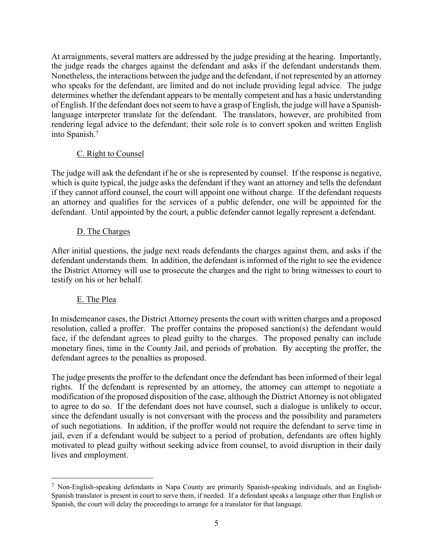At arraignments, several matters are addressed by the judge presiding at the hearing. Importantly, the judge reads the charges against the defendant and asks if the defendant understands them. Nonetheless, the interactions between the judge and the defendant, if not represented by an attorney who speaks for the defendant, are limited and do not include providing legal advice. The judge determines whether the defendant appears to be mentally competent and has a basic understanding of English. If the defendant does not seem to have a grasp of English, the judge will have a Spanishlanguage interpreter translate for the defendant. The translators, however, are prohibited from rendering legal advice to the defendant; their sole role is to convert spoken and written English into Spanish.7

#### C. Right to Counsel

The judge will ask the defendant if he or she is represented by counsel. If the response is negative, which is quite typical, the judge asks the defendant if they want an attorney and tells the defendant if they cannot afford counsel, the court will appoint one without charge. If the defendant requests an attorney and qualifies for the services of a public defender, one will be appointed for the defendant. Until appointed by the court, a public defender cannot legally represent a defendant.

#### D. The Charges

After initial questions, the judge next reads defendants the charges against them, and asks if the defendant understands them. In addition, the defendant is informed of the right to see the evidence the District Attorney will use to prosecute the charges and the right to bring witnesses to court to testify on his or her behalf.

#### E. The Plea

In misdemeanor cases, the District Attorney presents the court with written charges and a proposed resolution, called a proffer. The proffer contains the proposed sanction(s) the defendant would face, if the defendant agrees to plead guilty to the charges. The proposed penalty can include monetary fines, time in the County Jail, and periods of probation. By accepting the proffer, the defendant agrees to the penalties as proposed.

The judge presents the proffer to the defendant once the defendant has been informed of their legal rights. If the defendant is represented by an attorney, the attorney can attempt to negotiate a modification of the proposed disposition of the case, although the District Attorney is not obligated to agree to do so. If the defendant does not have counsel, such a dialogue is unlikely to occur, since the defendant usually is not conversant with the process and the possibility and parameters of such negotiations. In addition, if the proffer would not require the defendant to serve time in jail, even if a defendant would be subject to a period of probation, defendants are often highly motivated to plead guilty without seeking advice from counsel, to avoid disruption in their daily lives and employment.

<sup>7</sup> Non-English-speaking defendants in Napa County are primarily Spanish-speaking individuals, and an English-Spanish translator is present in court to serve them, if needed. If a defendant speaks a language other than English or Spanish, the court will delay the proceedings to arrange for a translator for that language.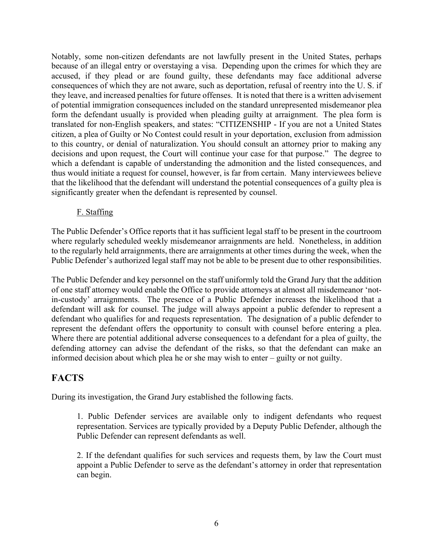Notably, some non-citizen defendants are not lawfully present in the United States, perhaps because of an illegal entry or overstaying a visa. Depending upon the crimes for which they are accused, if they plead or are found guilty, these defendants may face additional adverse consequences of which they are not aware, such as deportation, refusal of reentry into the U. S. if they leave, and increased penalties for future offenses. It is noted that there is a written advisement of potential immigration consequences included on the standard unrepresented misdemeanor plea form the defendant usually is provided when pleading guilty at arraignment. The plea form is translated for non-English speakers, and states: "CITIZENSHIP - If you are not a United States citizen, a plea of Guilty or No Contest could result in your deportation, exclusion from admission to this country, or denial of naturalization. You should consult an attorney prior to making any decisions and upon request, the Court will continue your case for that purpose." The degree to which a defendant is capable of understanding the admonition and the listed consequences, and thus would initiate a request for counsel, however, is far from certain. Many interviewees believe that the likelihood that the defendant will understand the potential consequences of a guilty plea is significantly greater when the defendant is represented by counsel.

#### F. Staffing

The Public Defender's Office reports that it has sufficient legal staff to be present in the courtroom where regularly scheduled weekly misdemeanor arraignments are held. Nonetheless, in addition to the regularly held arraignments, there are arraignments at other times during the week, when the Public Defender's authorized legal staff may not be able to be present due to other responsibilities.

The Public Defender and key personnel on the staff uniformly told the Grand Jury that the addition of one staff attorney would enable the Office to provide attorneys at almost all misdemeanor 'notin-custody' arraignments. The presence of a Public Defender increases the likelihood that a defendant will ask for counsel. The judge will always appoint a public defender to represent a defendant who qualifies for and requests representation. The designation of a public defender to represent the defendant offers the opportunity to consult with counsel before entering a plea. Where there are potential additional adverse consequences to a defendant for a plea of guilty, the defending attorney can advise the defendant of the risks, so that the defendant can make an informed decision about which plea he or she may wish to enter – guilty or not guilty.

#### **FACTS**

During its investigation, the Grand Jury established the following facts.

1. Public Defender services are available only to indigent defendants who request representation. Services are typically provided by a Deputy Public Defender, although the Public Defender can represent defendants as well.

2. If the defendant qualifies for such services and requests them, by law the Court must appoint a Public Defender to serve as the defendant's attorney in order that representation can begin.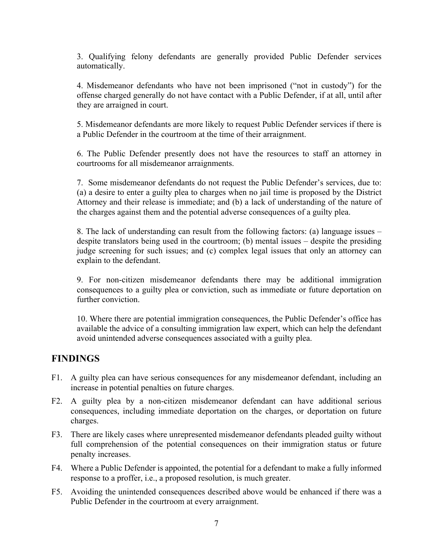3. Qualifying felony defendants are generally provided Public Defender services automatically.

4. Misdemeanor defendants who have not been imprisoned ("not in custody") for the offense charged generally do not have contact with a Public Defender, if at all, until after they are arraigned in court.

5. Misdemeanor defendants are more likely to request Public Defender services if there is a Public Defender in the courtroom at the time of their arraignment.

6. The Public Defender presently does not have the resources to staff an attorney in courtrooms for all misdemeanor arraignments.

7. Some misdemeanor defendants do not request the Public Defender's services, due to: (a) a desire to enter a guilty plea to charges when no jail time is proposed by the District Attorney and their release is immediate; and (b) a lack of understanding of the nature of the charges against them and the potential adverse consequences of a guilty plea.

8. The lack of understanding can result from the following factors: (a) language issues – despite translators being used in the courtroom; (b) mental issues – despite the presiding judge screening for such issues; and (c) complex legal issues that only an attorney can explain to the defendant.

9. For non-citizen misdemeanor defendants there may be additional immigration consequences to a guilty plea or conviction, such as immediate or future deportation on further conviction.

10. Where there are potential immigration consequences, the Public Defender's office has available the advice of a consulting immigration law expert, which can help the defendant avoid unintended adverse consequences associated with a guilty plea.

# **FINDINGS**

- F1. A guilty plea can have serious consequences for any misdemeanor defendant, including an increase in potential penalties on future charges.
- F2. A guilty plea by a non-citizen misdemeanor defendant can have additional serious consequences, including immediate deportation on the charges, or deportation on future charges.
- F3. There are likely cases where unrepresented misdemeanor defendants pleaded guilty without full comprehension of the potential consequences on their immigration status or future penalty increases.
- F4. Where a Public Defender is appointed, the potential for a defendant to make a fully informed response to a proffer, i.e., a proposed resolution, is much greater.
- F5. Avoiding the unintended consequences described above would be enhanced if there was a Public Defender in the courtroom at every arraignment.